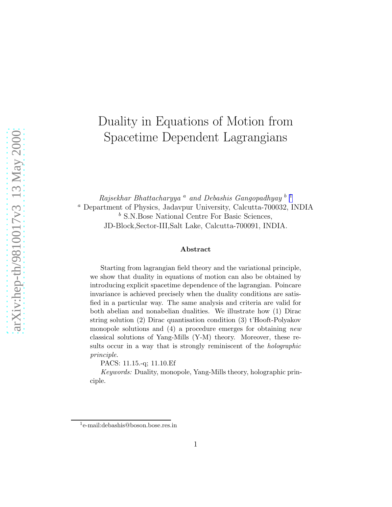# Duality in Equations of Motion from Spacetime Dependent Lagrangians

Rajsekhar Bhattacharyya<sup>a</sup> and Debashis Gangopadhyay<sup>b 1</sup> <sup>a</sup> Department of Physics, Jadavpur University, Calcutta-700032, INDIA <sup>b</sup> S.N.Bose National Centre For Basic Sciences, JD-Block,Sector-III,Salt Lake, Calcutta-700091, INDIA.

### Abstract

Starting from lagrangian field theory and the variational principle, we show that duality in equations of motion can also be obtained by introducing explicit spacetime dependence of the lagrangian. Poincare invariance is achieved precisely when the duality conditions are satisfied in a particular way. The same analysis and criteria are valid for both abelian and nonabelian dualities. We illustrate how (1) Dirac string solution (2) Dirac quantisation condition (3) t'Hooft-Polyakov monopole solutions and (4) a procedure emerges for obtaining new classical solutions of Yang-Mills (Y-M) theory. Moreover, these results occur in a way that is strongly reminiscent of the *holographic* principle.

PACS: 11.15.-q; 11.10.Ef

Keywords: Duality, monopole, Yang-Mills theory, holographic principle.

<sup>1</sup> e-mail:debashis@boson.bose.res.in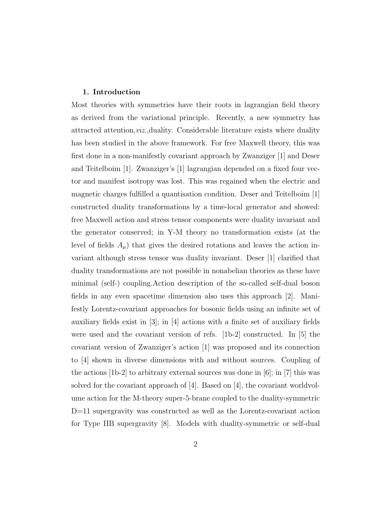#### 1. Introduction

Most theories with symmetries have their roots in lagrangian field theory as derived from the variational principle. Recently, a new symmetry has attracted attention,viz.,duality. Considerable literature exists where duality has been studied in the above framework. For free Maxwell theory, this was first done in a non-manifestly covariant approach by Zwanziger [1] and Deser and Teitelboim [1]. Zwanziger's [1] lagrangian depended on a fixed four vector and manifest isotropy was lost. This was regained when the electric and magnetic charges fulfilled a quantisation condition. Deser and Teitelboim [1] constructed duality transformations by a time-local generator and showed: free Maxwell action and stress tensor components were duality invariant and the generator conserved; in Y-M theory no transformation exists (at the level of fields  $A_{\mu}$ ) that gives the desired rotations and leaves the action invariant although stress tensor was duality invariant. Deser [1] clarified that duality transformations are not possible in nonabelian theories as these have minimal (self-) coupling.Action description of the so-called self-dual boson fields in any even spacetime dimension also uses this approach [2]. Manifestly Lorentz-covariant approaches for bosonic fields using an infinite set of auxiliary fields exist in  $[3]$ ; in  $[4]$  actions with a finite set of auxiliary fields were used and the covariant version of refs. [1b-2] constructed. In [5] the covariant version of Zwanziger's action [1] was proposed and its connection to [4] shown in diverse dimensions with and without sources. Coupling of the actions [1b-2] to arbitrary external sources was done in [6]; in [7] this was solved for the covariant approach of  $|4|$ . Based on  $|4|$ , the covariant worldvolume action for the M-theory super-5-brane coupled to the duality-symmetric D=11 supergravity was constructed as well as the Lorentz-covariant action for Type IIB supergravity [8]. Models with duality-symmetric or self-dual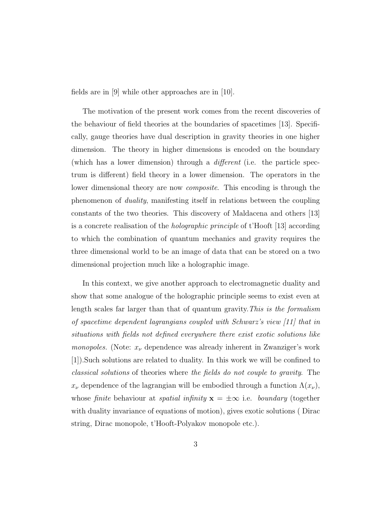fields are in [9] while other approaches are in [10].

The motivation of the present work comes from the recent discoveries of the behaviour of field theories at the boundaries of spacetimes [13]. Specifically, gauge theories have dual description in gravity theories in one higher dimension. The theory in higher dimensions is encoded on the boundary (which has a lower dimension) through a different (i.e. the particle spectrum is different) field theory in a lower dimension. The operators in the lower dimensional theory are now *composite*. This encoding is through the phenomenon of duality, manifesting itself in relations between the coupling constants of the two theories. This discovery of Maldacena and others [13] is a concrete realisation of the holographic principle of t'Hooft [13] according to which the combination of quantum mechanics and gravity requires the three dimensional world to be an image of data that can be stored on a two dimensional projection much like a holographic image.

In this context, we give another approach to electromagnetic duality and show that some analogue of the holographic principle seems to exist even at length scales far larger than that of quantum gravity.This is the formalism of spacetime dependent lagrangians coupled with Schwarz's view [11] that in situations with fields not defined everywhere there exist exotic solutions like *monopoles.* (Note:  $x_{\nu}$  dependence was already inherent in Zwanziger's work [1]).Such solutions are related to duality. In this work we will be confined to classical solutions of theories where the fields do not couple to gravity. The  $x_{\nu}$  dependence of the lagrangian will be embodied through a function  $\Lambda(x_{\nu}),$ whose finite behaviour at *spatial infinity*  $\mathbf{x} = \pm \infty$  i.e. *boundary* (together with duality invariance of equations of motion), gives exotic solutions ( Dirac string, Dirac monopole, t'Hooft-Polyakov monopole etc.).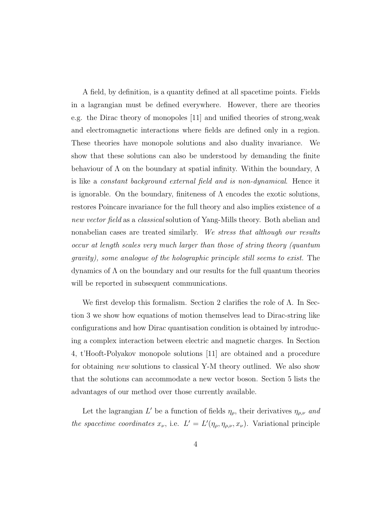A field, by definition, is a quantity defined at all spacetime points. Fields in a lagrangian must be defined everywhere. However, there are theories e.g. the Dirac theory of monopoles [11] and unified theories of strong,weak and electromagnetic interactions where fields are defined only in a region. These theories have monopole solutions and also duality invariance. We show that these solutions can also be understood by demanding the finite behaviour of  $\Lambda$  on the boundary at spatial infinity. Within the boundary,  $\Lambda$ is like a constant background external field and is non-dynamical. Hence it is ignorable. On the boundary, finiteness of  $\Lambda$  encodes the exotic solutions, restores Poincare invariance for the full theory and also implies existence of a new vector field as a classical solution of Yang-Mills theory. Both abelian and nonabelian cases are treated similarly. We stress that although our results occur at length scales very much larger than those of string theory (quantum gravity), some analogue of the holographic principle still seems to exist. The dynamics of  $\Lambda$  on the boundary and our results for the full quantum theories will be reported in subsequent communications.

We first develop this formalism. Section 2 clarifies the role of  $\Lambda$ . In Section 3 we show how equations of motion themselves lead to Dirac-string like configurations and how Dirac quantisation condition is obtained by introducing a complex interaction between electric and magnetic charges. In Section 4, t'Hooft-Polyakov monopole solutions [11] are obtained and a procedure for obtaining new solutions to classical Y-M theory outlined. We also show that the solutions can accommodate a new vector boson. Section 5 lists the advantages of our method over those currently available.

Let the lagrangian L' be a function of fields  $\eta_{\rho}$ , their derivatives  $\eta_{\rho,\nu}$  and the spacetime coordinates  $x_{\nu}$ , i.e.  $L' = L'(\eta_{\rho}, \eta_{\rho,\nu}, x_{\nu})$ . Variational principle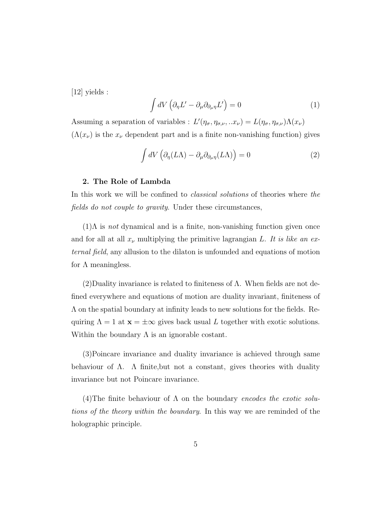[12] yields :

$$
\int dV \left( \partial_{\eta} L' - \partial_{\mu} \partial_{\partial_{\mu} \eta} L' \right) = 0 \tag{1}
$$

Assuming a separation of variables :  $L'(\eta_{\sigma}, \eta_{\sigma,\nu}, ... x_{\nu}) = L(\eta_{\sigma}, \eta_{\sigma,\nu})\Lambda(x_{\nu})$  $(\Lambda(x_{\nu})$  is the  $x_{\nu}$  dependent part and is a finite non-vanishing function) gives

$$
\int dV \left( \partial_{\eta} (L\Lambda) - \partial_{\mu} \partial_{\partial_{\mu} \eta} (L\Lambda) \right) = 0 \tag{2}
$$

### 2. The Role of Lambda

In this work we will be confined to *classical solutions* of theories where the fields do not couple to gravity. Under these circumstances,

 $(1)$ Λ is *not* dynamical and is a finite, non-vanishing function given once and for all at all  $x_{\nu}$  multiplying the primitive lagrangian L. It is like an external field, any allusion to the dilaton is unfounded and equations of motion for  $\Lambda$  meaningless.

 $(2)$ Duality invariance is related to finiteness of  $\Lambda$ . When fields are not defined everywhere and equations of motion are duality invariant, finiteness of Λ on the spatial boundary at infinity leads to new solutions for the fields. Requiring  $\Lambda = 1$  at  $\mathbf{x} = \pm \infty$  gives back usual L together with exotic solutions. Within the boundary  $\Lambda$  is an ignorable costant.

(3)Poincare invariance and duality invariance is achieved through same behaviour of  $\Lambda$ .  $\Lambda$  finite, but not a constant, gives theories with duality invariance but not Poincare invariance.

(4)The finite behaviour of  $\Lambda$  on the boundary encodes the exotic solutions of the theory within the boundary. In this way we are reminded of the holographic principle.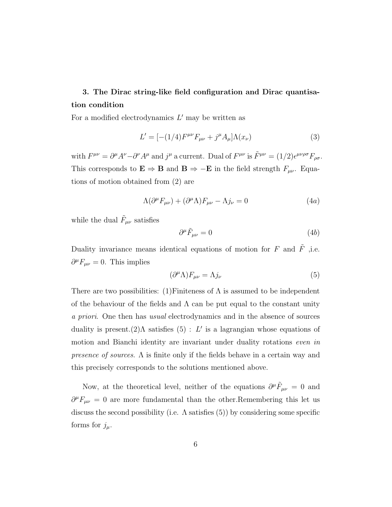### 3. The Dirac string-like field configuration and Dirac quantisation condition

For a modified electrodynamics  $L'$  may be written as

$$
L' = [-(1/4)F^{\mu\nu}F_{\mu\nu} + j^{\mu}A_{\mu}]\Lambda(x_{\nu})
$$
\n(3)

with  $F^{\mu\nu} = \partial^{\mu}A^{\nu} - \partial^{\nu}A^{\mu}$  and  $j^{\mu}$  a current. Dual of  $F^{\mu\nu}$  is  $\tilde{F}^{\mu\nu} = (1/2)\epsilon^{\mu\nu\rho\sigma}F_{\rho\sigma}$ . This corresponds to  $\mathbf{E} \Rightarrow \mathbf{B}$  and  $\mathbf{B} \Rightarrow -\mathbf{E}$  in the field strength  $F_{\mu\nu}$ . Equations of motion obtained from (2) are

$$
\Lambda(\partial^{\mu}F_{\mu\nu}) + (\partial^{\mu}\Lambda)F_{\mu\nu} - \Lambda j_{\nu} = 0 \tag{4a}
$$

while the dual  $\tilde{F}_{\mu\nu}$  satisfies

$$
\partial^{\mu}\tilde{F}_{\mu\nu} = 0 \tag{4b}
$$

Duality invariance means identical equations of motion for  $F$  and  $\tilde{F}$  ,i.e.  $\partial^{\mu}F_{\mu\nu} = 0$ . This implies

$$
(\partial^{\mu} \Lambda) F_{\mu\nu} = \Lambda j_{\nu} \tag{5}
$$

There are two possibilities: (1)Finiteness of  $\Lambda$  is assumed to be independent of the behaviour of the fields and  $\Lambda$  can be put equal to the constant unity a priori. One then has usual electrodynamics and in the absence of sources duality is present. $(2)$  $\Lambda$  satisfies  $(5)$ : L' is a lagrangian whose equations of motion and Bianchi identity are invariant under duality rotations even in presence of sources. Λ is finite only if the fields behave in a certain way and this precisely corresponds to the solutions mentioned above.

Now, at the theoretical level, neither of the equations  $\partial^{\mu} \tilde{F}_{\mu\nu} = 0$  and  $\partial^{\mu}F_{\mu\nu} = 0$  are more fundamental than the other. Remembering this let us discuss the second possibility (i.e.  $\Lambda$  satisfies (5)) by considering some specific forms for  $j_\mu$ .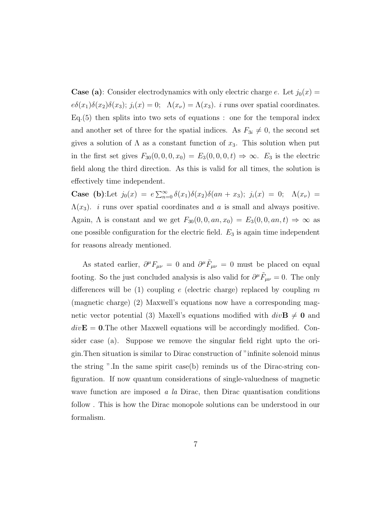**Case (a)**: Consider electrodynamics with only electric charge e. Let  $j_0(x)$  =  $e\delta(x_1)\delta(x_2)\delta(x_3)$ ;  $j_i(x) = 0$ ;  $\Lambda(x_\nu) = \Lambda(x_3)$ . *i* runs over spatial coordinates. Eq.(5) then splits into two sets of equations : one for the temporal index and another set of three for the spatial indices. As  $F_{3i} \neq 0$ , the second set gives a solution of  $\Lambda$  as a constant function of  $x_3$ . This solution when put in the first set gives  $F_{30}(0,0,0,x_0) = E_3(0,0,0,t) \Rightarrow \infty$ .  $E_3$  is the electric field along the third direction. As this is valid for all times, the solution is effectively time independent.

**Case** (**b**):Let  $j_0(x) = e \sum_{n=0}^{\infty} \delta(x_1) \delta(x_2) \delta(an + x_3); j_i(x) = 0; \Lambda(x_{\nu}) =$  $\Lambda(x_3)$ . *i* runs over spatial coordinates and *a* is small and always positive. Again,  $\Lambda$  is constant and we get  $F_{30}(0, 0, an, x_0) = E_3(0, 0, an, t) \Rightarrow \infty$  as one possible configuration for the electric field.  $E_3$  is again time independent for reasons already mentioned.

As stated earlier,  $\partial^{\mu}F_{\mu\nu} = 0$  and  $\partial^{\mu}\tilde{F}_{\mu\nu} = 0$  must be placed on equal footing. So the just concluded analysis is also valid for  $\partial^{\mu} \tilde{F}_{\mu\nu} = 0$ . The only differences will be  $(1)$  coupling e (electric charge) replaced by coupling m (magnetic charge) (2) Maxwell's equations now have a corresponding magnetic vector potential (3) Maxell's equations modified with  $div\mathbf{B} \neq 0$  and  $div\mathbf{E} = 0$ . The other Maxwell equations will be accordingly modified. Consider case (a). Suppose we remove the singular field right upto the origin.Then situation is similar to Dirac construction of "infinite solenoid minus the string ".In the same spirit case(b) reminds us of the Dirac-string configuration. If now quantum considerations of single-valuedness of magnetic wave function are imposed  $\alpha$  la Dirac, then Dirac quantisation conditions follow . This is how the Dirac monopole solutions can be understood in our formalism.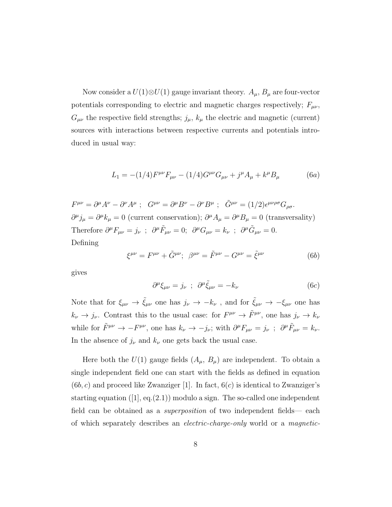Now consider a  $U(1) \otimes U(1)$  gauge invariant theory.  $A_{\mu}$ ,  $B_{\mu}$  are four-vector potentials corresponding to electric and magnetic charges respectively;  $F_{\mu\nu}$ ,  $G_{\mu\nu}$  the respective field strengths;  $j_{\mu}$ ,  $k_{\mu}$  the electric and magnetic (current) sources with interactions between respective currents and potentials introduced in usual way:

$$
L_1 = -(1/4)F^{\mu\nu}F_{\mu\nu} - (1/4)G^{\mu\nu}G_{\mu\nu} + j^{\mu}A_{\mu} + k^{\mu}B_{\mu}
$$
 (6a)

 $F^{\mu\nu} = \partial^{\mu}A^{\nu} - \partial^{\nu}A^{\mu}$ ;  $G^{\mu\nu} = \partial^{\mu}B^{\nu} - \partial^{\nu}B^{\mu}$ ;  $\tilde{G}^{\mu\nu} = (1/2)\epsilon^{\mu\nu\rho\sigma}G_{\rho\sigma}$ .  $\partial^{\mu} j_{\mu} = \partial^{\mu} k_{\mu} = 0$  (current conservation);  $\partial^{\mu} A_{\mu} = \partial^{\mu} B_{\mu} = 0$  (transversality) Therefore  $\partial^{\mu}F_{\mu\nu} = j_{\nu}$ ;  $\partial^{\mu}\tilde{F}_{\mu\nu} = 0$ ;  $\partial^{\mu}G_{\mu\nu} = k_{\nu}$ ;  $\partial^{\mu}\tilde{G}_{\mu\nu} = 0$ . Defining

$$
\xi^{\mu\nu} = F^{\mu\nu} + \tilde{G}^{\mu\nu}; \ \ \beta^{\mu\nu} = \tilde{F}^{\mu\nu} - G^{\mu\nu} = \tilde{\xi}^{\mu\nu} \tag{6b}
$$

gives

$$
\partial^{\mu}\xi_{\mu\nu} = j_{\nu} \; ; \; \partial^{\mu}\tilde{\xi}_{\mu\nu} = -k_{\nu} \tag{6c}
$$

Note that for  $\xi_{\mu\nu} \to \tilde{\xi}_{\mu\nu}$  one has  $j_{\nu} \to -k_{\nu}$ , and for  $\tilde{\xi}_{\mu\nu} \to -\xi_{\mu\nu}$  one has  $k_{\nu} \to j_{\nu}$ . Contrast this to the usual case: for  $F^{\mu\nu} \to \tilde{F}^{\mu\nu}$ , one has  $j_{\nu} \to k_{\nu}$ while for  $\tilde{F}^{\mu\nu} \to -F^{\mu\nu}$ , one has  $k_{\nu} \to -j_{\nu}$ ; with  $\partial^{\mu}F_{\mu\nu} = j_{\nu}$ ;  $\partial^{\mu}\tilde{F}_{\mu\nu} = k_{\nu}$ . In the absence of  $j_{\nu}$  and  $k_{\nu}$  one gets back the usual case.

Here both the  $U(1)$  gauge fields  $(A_\mu, B_\mu)$  are independent. To obtain a single independent field one can start with the fields as defined in equation  $(6b, c)$  and proceed like Zwanziger [1]. In fact,  $6(c)$  is identical to Zwanziger's starting equation  $([1], \text{eq.}(2.1))$  modulo a sign. The so-called one independent field can be obtained as a superposition of two independent fields— each of which separately describes an electric-charge-only world or a magnetic-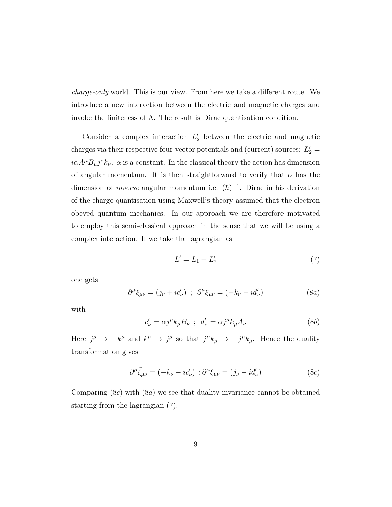charge-only world. This is our view. From here we take a different route. We introduce a new interaction between the electric and magnetic charges and invoke the finiteness of  $\Lambda$ . The result is Dirac quantisation condition.

Consider a complex interaction  $L_2'$  between the electric and magnetic charges via their respective four-vector potentials and (current) sources:  $L_2' =$  $i\alpha A^{\mu}B_{\mu}j^{\nu}k_{\nu}$ .  $\alpha$  is a constant. In the classical theory the action has dimension of angular momentum. It is then straightforward to verify that  $\alpha$  has the dimension of *inverse* angular momentum i.e.  $(\hbar)^{-1}$ . Dirac in his derivation of the charge quantisation using Maxwell's theory assumed that the electron obeyed quantum mechanics. In our approach we are therefore motivated to employ this semi-classical approach in the sense that we will be using a complex interaction. If we take the lagrangian as

$$
L'=L_1+L'_2\tag{7}
$$

one gets

$$
\partial^{\mu}\xi_{\mu\nu} = (j_{\nu} + ic_{\nu}') \ ; \ \partial^{\mu}\tilde{\xi}_{\mu\nu} = (-k_{\nu} - id_{\nu}') \tag{8a}
$$

with

$$
c'_{\nu} = \alpha j^{\mu} k_{\mu} B_{\nu} \; ; \; d'_{\nu} = \alpha j^{\mu} k_{\mu} A_{\nu} \tag{8b}
$$

Here  $j^{\mu} \to -k^{\mu}$  and  $k^{\mu} \to j^{\mu}$  so that  $j^{\mu}k_{\mu} \to -j^{\mu}k_{\mu}$ . Hence the duality transformation gives

$$
\partial^{\mu}\tilde{\xi}_{\mu\nu} = (-k_{\nu} - ic'_{\nu}) \; ; \partial^{\mu}\xi_{\mu\nu} = (j_{\nu} - id'_{\nu}) \tag{8c}
$$

Comparing  $(8c)$  with  $(8a)$  we see that duality invariance cannot be obtained starting from the lagrangian (7).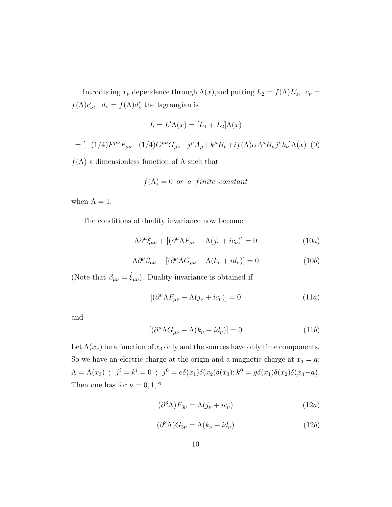Introducing  $x_{\nu}$  dependence through  $\Lambda(x)$ , and putting  $L_2 = f(\Lambda)L'_2$ ,  $c_{\nu} =$  $f(\Lambda)c'_i$ '<sub> $\nu$ </sub>,  $d_{\nu} = f(\Lambda) d_{\nu}'$  $\frac{\prime}{\nu}$  the lagrangian is

$$
L = L'\Lambda(x) = [L_1 + L_2]\Lambda(x)
$$

$$
= [-(1/4)F^{\mu\nu}F_{\mu\nu} - (1/4)G^{\mu\nu}G_{\mu\nu} + j^{\mu}A_{\mu} + k^{\mu}B_{\mu} + if(\Lambda)\alpha A^{\mu}B_{\mu}j^{\nu}k_{\nu}]\Lambda(x) \tag{9}
$$

 $f(\Lambda)$  a dimensionless function of  $\Lambda$  such that

$$
f(\Lambda) = 0
$$
 or a finite constant

when  $\Lambda = 1$ .

The conditions of duality invariance now become

$$
\Lambda \partial^{\mu} \xi_{\mu\nu} + [(\partial^{\mu} \Lambda F_{\mu\nu} - \Lambda (j_{\nu} + ic_{\nu})] = 0 \qquad (10a)
$$

$$
\Lambda \partial^{\mu} \beta_{\mu \nu} - [(\partial^{\mu} \Lambda G_{\mu \nu} - \Lambda (k_{\nu} + id_{\nu})] = 0 \tag{10b}
$$

(Note that  $\beta_{\mu\nu} = \tilde{\xi}_{\mu\nu}$ ). Duality invariance is obtained if

$$
[(\partial^{\mu} \Lambda F_{\mu\nu} - \Lambda (j_{\nu} + ic_{\nu})] = 0 \tag{11a}
$$

and

$$
[(\partial^{\mu} \Lambda G_{\mu\nu} - \Lambda (k_{\nu} + id_{\nu})] = 0 \tag{11b}
$$

Let  $\Lambda(x_\nu)$  be a function of  $x_3$  only and the sources have only time components. So we have an electric charge at the origin and a magnetic charge at  $x_3 = a$ ;  $\Lambda = \Lambda(x_3)$ ;  $j^i = k^i = 0$ ;  $j^0 = e\delta(x_1)\delta(x_2)\delta(x_3)$ ;  $k^0 = g\delta(x_1)\delta(x_2)\delta(x_3 - a)$ . Then one has for  $\nu = 0, 1, 2$ 

$$
(\partial^3 \Lambda) F_{3\nu} = \Lambda (j_\nu + i c_\nu) \tag{12a}
$$

$$
(\partial^3 \Lambda) G_{3\nu} = \Lambda (k_\nu + i d_\nu) \tag{12b}
$$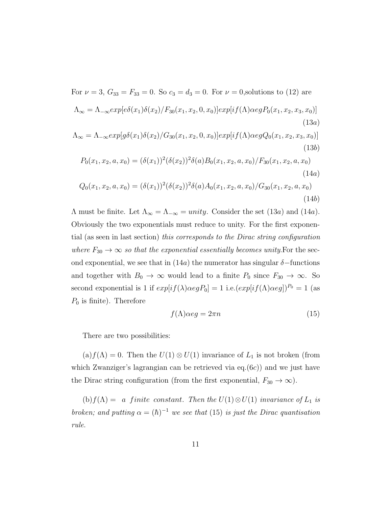For  $\nu = 3$ ,  $G_{33} = F_{33} = 0$ . So  $c_3 = d_3 = 0$ . For  $\nu = 0$ , solutions to (12) are  $\Lambda_{\infty} = \Lambda_{-\infty} exp[e\delta(x_1)\delta(x_2)/F_{30}(x_1,x_2,0,x_0)] exp[i\,(\Lambda)\alpha e q P_0(x_1,x_2,x_3,x_0)]$ (13a)

$$
\Lambda_{\infty} = \Lambda_{-\infty} exp[g\delta(x_1)\delta(x_2)/G_{30}(x_1, x_2, 0, x_0)] exp[i f(\Lambda) \alpha eg Q_0(x_1, x_2, x_3, x_0)]
$$
\n(13b)

$$
P_0(x_1, x_2, a, x_0) = (\delta(x_1))^2 (\delta(x_2))^2 \delta(a) B_0(x_1, x_2, a, x_0) / F_{30}(x_1, x_2, a, x_0)
$$
\n(14a)

$$
Q_0(x_1, x_2, a, x_0) = (\delta(x_1))^2 (\delta(x_2))^2 \delta(a) A_0(x_1, x_2, a, x_0) / G_{30}(x_1, x_2, a, x_0)
$$
\n(14b)

Λ must be finite. Let  $Λ<sub>∞</sub> = Λ<sub>−∞</sub> = *unity*. Consider the set (13*a*) and (14*a*).$ Obviously the two exponentials must reduce to unity. For the first exponential (as seen in last section) this corresponds to the Dirac string configuration where  $F_{30} \rightarrow \infty$  so that the exponential essentially becomes unity. For the second exponential, we see that in (14a) the numerator has singular  $\delta$ -functions and together with  $B_0 \to \infty$  would lead to a finite  $P_0$  since  $F_{30} \to \infty$ . So second exponential is 1 if  $exp[i f(\lambda) \alpha eg P_0] = 1$  i.e. $(exp[i f(\Lambda) \alpha eg])^{P_0} = 1$  (as  $P_0$  is finite). Therefore

$$
f(\Lambda)\alpha eg = 2\pi n\tag{15}
$$

There are two possibilities:

(a) $f(\Lambda) = 0$ . Then the  $U(1) \otimes U(1)$  invariance of  $L_1$  is not broken (from which Zwanziger's lagrangian can be retrieved via  $eq.(6c)$ ) and we just have the Dirac string configuration (from the first exponential,  $F_{30} \rightarrow \infty$ ).

(b)  $f(\Lambda) = a$  finite constant. Then the  $U(1) \otimes U(1)$  invariance of  $L_1$  is broken; and putting  $\alpha = (\hbar)^{-1}$  we see that (15) is just the Dirac quantisation rule.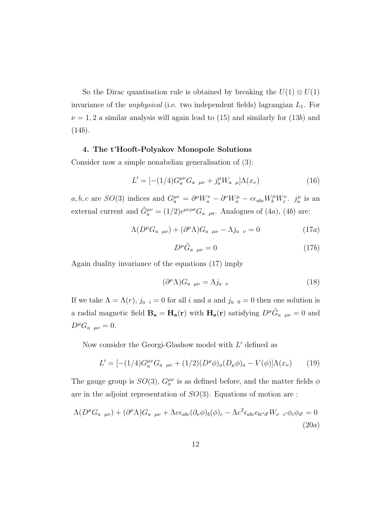So the Dirac quantisation rule is obtained by breaking the  $U(1) \otimes U(1)$ invariance of the *unphysical* (i.e. two independent fields) lagrangian  $L_1$ . For  $\nu = 1, 2$  a similar analysis will again lead to (15) and similarly for (13b) and  $(14b).$ 

### 4. The t'Hooft-Polyakov Monopole Solutions

Consider now a simple nonabelian generalisation of (3):

$$
L' = [-(1/4)G_a^{\mu\nu}G_a \,_{\mu\nu} + j_a^{\mu}W_a \,_{\mu}]\Lambda(x_{\nu}) \tag{16}
$$

a, b, c are  $SO(3)$  indices and  $G_a^{\mu\nu} = \partial^{\mu}W_a^{\nu} - \partial^{\nu}W_a^{\mu} - e\epsilon_{abc}W_b^{\mu}W_c^{\nu}$ .  $j_a^{\mu}$  is an external current and  $\tilde{G}_a^{\mu\nu} = (1/2) \epsilon^{\mu\nu\rho\sigma} G_{a \rho\sigma}$ . Analogues of (4*a*), (4*b*) are:

$$
\Lambda(D^{\mu}G_{a\ \mu\nu}) + (\partial^{\mu}\Lambda)G_{a\ \mu\nu} - \Lambda j_{a\ \nu} = 0 \qquad (17a)
$$

$$
D^{\mu}\tilde{G}_{a\ \mu\nu} = 0 \tag{17b}
$$

Again duality invariance of the equations (17) imply

$$
(\partial^{\mu} \Lambda) G_{a \ \mu \nu} = \Lambda j_{a \ \nu} \tag{18}
$$

If we take  $\Lambda = \Lambda(r)$ ,  $j_{a,i} = 0$  for all i and i and  $j_{a,0} = 0$  then one solution is a radial magnetic field  $\mathbf{B}_a = \mathbf{H}_a(\mathbf{r})$  with  $\mathbf{H}_a(\mathbf{r})$  satisfying  $D^{\mu} \tilde{G}_{a\mu\nu} = 0$  and  $D^{\mu}G_{a\ \mu\nu}=0.$ 

Now consider the Georgi-Glashow model with  $L'$  defined as

$$
L' = [-(1/4)G_a^{\mu\nu}G_a \,_{\mu\nu} + (1/2)(D^{\mu}\phi)_a(D_{\mu}\phi)_a - V(\phi)]\Lambda(x_{\nu}) \qquad (19)
$$

The gauge group is  $SO(3)$ ,  $G_a^{\mu\nu}$  is as defined before, and the matter fields  $\phi$ are in the adjoint representation of  $SO(3)$ . Equations of motion are :

$$
\Lambda(D^{\mu}G_{a\ \mu\nu}) + (\partial^{\mu}\Lambda)G_{a\ \mu\nu} + \Lambda e\epsilon_{abc}(\partial_{\nu}\phi)_{b}(\phi)_{c} - \Lambda e^{2}\epsilon_{abc}\epsilon_{bc'd'}W_{\nu\ c'}\phi_{c}\phi_{d'} = 0
$$
\n(20a)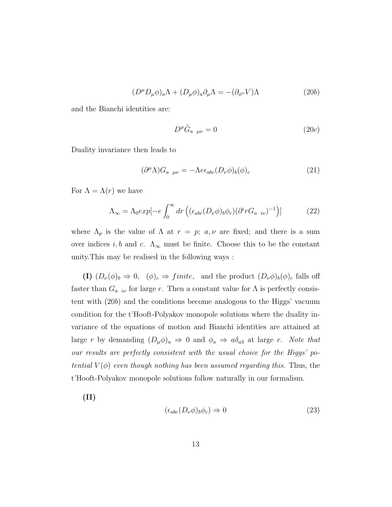$$
(D^{\mu}D_{\mu}\phi)_{a}\Lambda + (D_{\mu}\phi)_{a}\partial_{\mu}\Lambda = -(\partial_{\phi^{a}}V)\Lambda
$$
\n(20b)

and the Bianchi identities are:

$$
D^{\mu}\tilde{G}_{a\ \mu\nu} = 0 \tag{20c}
$$

Duality invariance then leads to

$$
(\partial^{\mu} \Lambda) G_{a \ \mu\nu} = -\Lambda e \epsilon_{abc} (D_{\nu} \phi)_b (\phi)_c \tag{21}
$$

For  $\Lambda = \Lambda(r)$  we have

$$
\Lambda_{\infty} = \Lambda_0 exp[-e \int_0^{\infty} dr \left( (\epsilon_{abc} (D_{\nu} \phi)_b \phi_c) (\partial^i r G_{a i \nu})^{-1} \right)] \tag{22}
$$

where  $\Lambda_p$  is the value of  $\Lambda$  at  $r = p$ ;  $a, \nu$  are fixed; and there is a sum over indices  $i, b$  and c.  $\Lambda_{\infty}$  must be finite. Choose this to be the constant unity.This may be realised in the following ways :

(I)  $(D_{\nu}(\phi)_{b} \Rightarrow 0, \quad (\phi)_{c} \Rightarrow finite, \text{ and the product } (D_{\nu}\phi)_{b}(\phi)_{c} \text{ falls off}$ faster than  $G_{a\;\;i\nu}$  for large r. Then a constant value for  $\Lambda$  is perfectly consistent with (20b) and the conditions become analogous to the Higgs' vacuum condition for the t'Hooft-Polyakov monopole solutions where the duality invariance of the equations of motion and Bianchi identities are attained at large r by demanding  $(D_{\mu}\phi)_{a} \Rightarrow 0$  and  $\phi_{a} \Rightarrow a\delta_{a3}$  at large r. Note that our results are perfectly consistent with the usual choice for the Higgs' potential  $V(\phi)$  even though nothing has been assumed regarding this. Thus, the t'Hooft-Polyakov monopole solutions follow naturally in our formalism.

(II)

$$
(\epsilon_{abc}(D_{\nu}\phi)_{b}\phi_{c}) \Rightarrow 0 \tag{23}
$$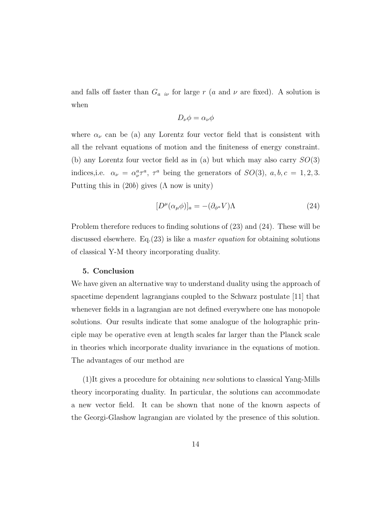and falls off faster than  $G_{a i\nu}$  for large r (a and  $\nu$  are fixed). A solution is when

$$
D_{\nu}\phi = \alpha_{\nu}\phi
$$

where  $\alpha_{\nu}$  can be (a) any Lorentz four vector field that is consistent with all the relvant equations of motion and the finiteness of energy constraint. (b) any Lorentz four vector field as in (a) but which may also carry  $SO(3)$ indices, i.e.  $\alpha_{\nu} = \alpha_{\nu}^a \tau^a$ ,  $\tau^a$  being the generators of  $SO(3)$ ,  $a, b, c = 1, 2, 3$ . Putting this in  $(20b)$  gives  $(\Lambda)$  now is unity)

$$
[D^{\mu}(\alpha_{\mu}\phi)]_{a} = -(\partial_{\phi^{a}}V)\Lambda
$$
\n(24)

Problem therefore reduces to finding solutions of (23) and (24). These will be discussed elsewhere. Eq.(23) is like a master equation for obtaining solutions of classical Y-M theory incorporating duality.

### 5. Conclusion

We have given an alternative way to understand duality using the approach of spacetime dependent lagrangians coupled to the Schwarz postulate [11] that whenever fields in a lagrangian are not defined everywhere one has monopole solutions. Our results indicate that some analogue of the holographic principle may be operative even at length scales far larger than the Planck scale in theories which incorporate duality invariance in the equations of motion. The advantages of our method are

(1)It gives a procedure for obtaining new solutions to classical Yang-Mills theory incorporating duality. In particular, the solutions can accommodate a new vector field. It can be shown that none of the known aspects of the Georgi-Glashow lagrangian are violated by the presence of this solution.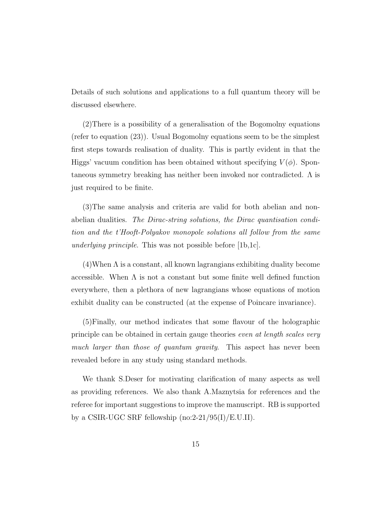Details of such solutions and applications to a full quantum theory will be discussed elsewhere.

(2)There is a possibility of a generalisation of the Bogomolny equations (refer to equation (23)). Usual Bogomolny equations seem to be the simplest first steps towards realisation of duality. This is partly evident in that the Higgs' vacuum condition has been obtained without specifying  $V(\phi)$ . Spontaneous symmetry breaking has neither been invoked nor contradicted.  $\Lambda$  is just required to be finite.

(3)The same analysis and criteria are valid for both abelian and nonabelian dualities. The Dirac-string solutions, the Dirac quantisation condition and the t'Hooft-Polyakov monopole solutions all follow from the same underlying principle. This was not possible before [1b,1c].

 $(4)$ When  $\Lambda$  is a constant, all known lagrangians exhibiting duality become accessible. When  $\Lambda$  is not a constant but some finite well defined function everywhere, then a plethora of new lagrangians whose equations of motion exhibit duality can be constructed (at the expense of Poincare invariance).

(5)Finally, our method indicates that some flavour of the holographic principle can be obtained in certain gauge theories even at length scales very much larger than those of quantum gravity. This aspect has never been revealed before in any study using standard methods.

We thank S.Deser for motivating clarification of many aspects as well as providing references. We also thank A.Maznytsia for references and the referee for important suggestions to improve the manuscript. RB is supported by a CSIR-UGC SRF fellowship (no:2-21/95(I)/E.U.II).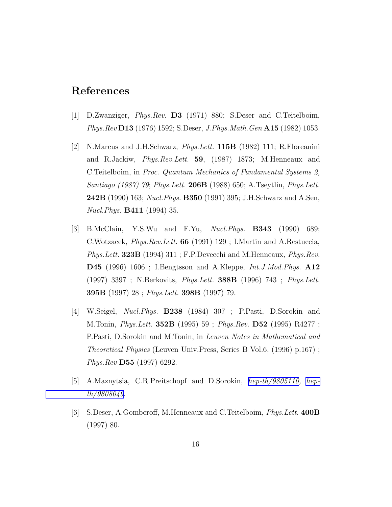## References

- [1] D.Zwanziger, Phys.Rev. D3 (1971) 880; S.Deser and C.Teitelboim, Phys.Rev D13 (1976) 1592; S.Deser, J.Phys.Math.Gen A15 (1982) 1053.
- [2] N.Marcus and J.H.Schwarz, Phys.Lett. 115B (1982) 111; R.Floreanini and R.Jackiw, Phys.Rev.Lett. 59, (1987) 1873; M.Henneaux and C.Teitelboim, in Proc. Quantum Mechanics of Fundamental Systems 2, Santiago (1987) 79; Phys.Lett. 206B (1988) 650; A.Tseytlin, Phys.Lett. **242B** (1990) 163; Nucl. Phys. **B350** (1991) 395; J.H. Schwarz and A.Sen, Nucl.Phys. B411 (1994) 35.
- [3] B.McClain, Y.S.Wu and F.Yu, Nucl.Phys. B343 (1990) 689; C.Wotzacek, Phys.Rev.Lett. 66 (1991) 129 ; I.Martin and A.Restuccia, Phys.Lett. 323B (1994) 311; F.P.Devecchi and M.Henneaux, *Phys.Rev.* D45 (1996) 1606 ; I.Bengtsson and A.Kleppe, Int.J.Mod.Phys. A12 (1997) 3397 ; N.Berkovits, Phys.Lett. 388B (1996) 743 ; Phys.Lett. 395B (1997) 28 ; Phys.Lett. 398B (1997) 79.
- [4] W.Seigel, Nucl.Phys. B238 (1984) 307 ; P.Pasti, D.Sorokin and M.Tonin, Phys.Lett. 352B (1995) 59 ; Phys.Rev. D52 (1995) R4277 ; P.Pasti, D.Sorokin and M.Tonin, in Leuven Notes in Mathematical and Theoretical Physics (Leuven Univ.Press, Series B Vol.6, (1996) p.167) ; Phys.Rev D55 (1997) 6292.
- [5] A.Maznytsia, C.R.Preitschopf and D.Sorokin, [hep-th/9805110](http://arxiv.org/abs/hep-th/9805110), [hep](http://arxiv.org/abs/hep-th/9808049)[th/9808049](http://arxiv.org/abs/hep-th/9808049).
- [6] S.Deser, A.Gomberoff, M.Henneaux and C.Teitelboim, Phys.Lett. 400B (1997) 80.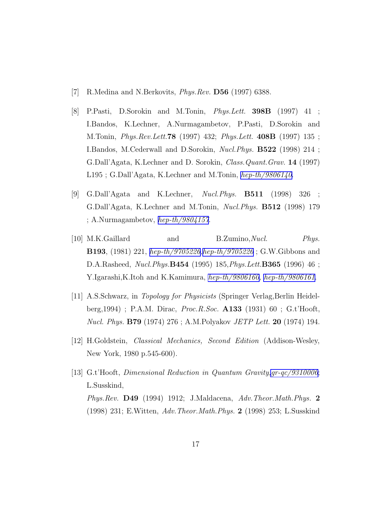- [7] R.Medina and N.Berkovits, Phys.Rev. D56 (1997) 6388.
- [8] P.Pasti, D.Sorokin and M.Tonin, Phys.Lett. 398B (1997) 41 ; I.Bandos, K.Lechner, A.Nurmagambetov, P.Pasti, D.Sorokin and M.Tonin, Phys.Rev.Lett.78 (1997) 432; Phys.Lett. 408B (1997) 135 ; I.Bandos, M.Cederwall and D.Sorokin, Nucl.Phys. B522 (1998) 214 ; G.Dall'Agata, K.Lechner and D. Sorokin, Class.Quant.Grav. 14 (1997) L195 ; G.Dall'Agata, K.Lechner and M.Tonin, [hep-th/9806140](http://arxiv.org/abs/hep-th/9806140).
- [9] G.Dall'Agata and K.Lechner, Nucl.Phys. B511 (1998) 326 ; G.Dall'Agata, K.Lechner and M.Tonin, Nucl.Phys. B512 (1998) 179 ; A.Nurmagambetov,  $hep-th/9804157$ .
- [10] M.K.Gaillard and B.Zumino,Nucl. Phys. B193, (1981) 221, [hep-th/9705226,hep-th/9705226](http://arxiv.org/abs/hep-th/9705226) ; G.W.Gibbons and D.A.Rasheed, Nucl.Phys.B454 (1995) 185,Phys.Lett.B365 (1996) 46 ; Y.Igarashi,K.Itoh and K.Kamimura, [hep-th/9806160,](http://arxiv.org/abs/hep-th/9806160) [hep-th/9806161](http://arxiv.org/abs/hep-th/9806161).
- [11] A.S.Schwarz, in Topology for Physicists (Springer Verlag,Berlin Heidelberg,1994) ; P.A.M. Dirac, Proc.R.Soc. A133 (1931) 60 ; G.t'Hooft, Nucl. Phys. B79 (1974) 276 ; A.M.Polyakov JETP Lett. 20 (1974) 194.
- [12] H.Goldstein, Classical Mechanics, Second Edition (Addison-Wesley, New York, 1980 p.545-600).
- [13] G.t'Hooft, Dimensional Reduction in Quantum Gravity[,gr-qc/9310006](http://arxiv.org/abs/gr-qc/9310006); L.Susskind, Phys.Rev. D49 (1994) 1912; J.Maldacena, Adv.Theor.Math.Phys. 2 (1998) 231; E.Witten, Adv.Theor.Math.Phys. 2 (1998) 253; L.Susskind